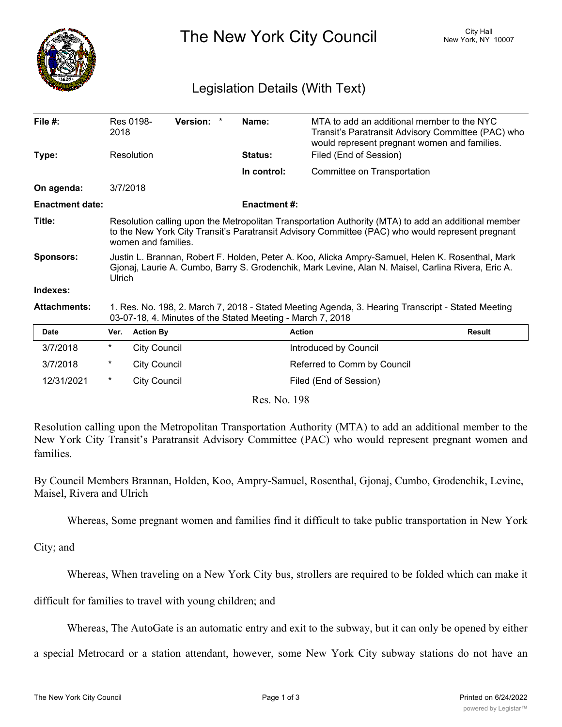

The New York City Council New York, NY 10007

## Legislation Details (With Text)

| File #:                | 2018                                                                                                                                                                                                                           | Res 0198-           | <b>Version:</b> |  | Name:               | MTA to add an additional member to the NYC<br>Transit's Paratransit Advisory Committee (PAC) who<br>would represent pregnant women and families. |               |
|------------------------|--------------------------------------------------------------------------------------------------------------------------------------------------------------------------------------------------------------------------------|---------------------|-----------------|--|---------------------|--------------------------------------------------------------------------------------------------------------------------------------------------|---------------|
| Type:                  | Resolution                                                                                                                                                                                                                     |                     |                 |  | <b>Status:</b>      | Filed (End of Session)                                                                                                                           |               |
|                        |                                                                                                                                                                                                                                |                     |                 |  | In control:         | Committee on Transportation                                                                                                                      |               |
| On agenda:             | 3/7/2018                                                                                                                                                                                                                       |                     |                 |  |                     |                                                                                                                                                  |               |
| <b>Enactment date:</b> |                                                                                                                                                                                                                                |                     |                 |  | <b>Enactment #:</b> |                                                                                                                                                  |               |
| Title:                 | Resolution calling upon the Metropolitan Transportation Authority (MTA) to add an additional member<br>to the New York City Transit's Paratransit Advisory Committee (PAC) who would represent pregnant<br>women and families. |                     |                 |  |                     |                                                                                                                                                  |               |
| <b>Sponsors:</b>       | Justin L. Brannan, Robert F. Holden, Peter A. Koo, Alicka Ampry-Samuel, Helen K. Rosenthal, Mark<br>Gjonaj, Laurie A. Cumbo, Barry S. Grodenchik, Mark Levine, Alan N. Maisel, Carlina Rivera, Eric A.<br>Ulrich               |                     |                 |  |                     |                                                                                                                                                  |               |
| Indexes:               |                                                                                                                                                                                                                                |                     |                 |  |                     |                                                                                                                                                  |               |
| <b>Attachments:</b>    | 1. Res. No. 198, 2. March 7, 2018 - Stated Meeting Agenda, 3. Hearing Transcript - Stated Meeting<br>03-07-18, 4. Minutes of the Stated Meeting - March 7, 2018                                                                |                     |                 |  |                     |                                                                                                                                                  |               |
| <b>Date</b>            | Ver.                                                                                                                                                                                                                           | <b>Action By</b>    |                 |  |                     | <b>Action</b>                                                                                                                                    | <b>Result</b> |
| 3/7/2018               | $^\star$                                                                                                                                                                                                                       | <b>City Council</b> |                 |  |                     | Introduced by Council                                                                                                                            |               |
| 3/7/2018               | $^\star$                                                                                                                                                                                                                       | <b>City Council</b> |                 |  |                     | Referred to Comm by Council                                                                                                                      |               |
| 12/31/2021             | $^\star$                                                                                                                                                                                                                       | <b>City Council</b> |                 |  |                     | Filed (End of Session)                                                                                                                           |               |

Res. No. 198

Resolution calling upon the Metropolitan Transportation Authority (MTA) to add an additional member to the New York City Transit's Paratransit Advisory Committee (PAC) who would represent pregnant women and families.

By Council Members Brannan, Holden, Koo, Ampry-Samuel, Rosenthal, Gjonaj, Cumbo, Grodenchik, Levine, Maisel, Rivera and Ulrich

Whereas, Some pregnant women and families find it difficult to take public transportation in New York

City; and

Whereas, When traveling on a New York City bus, strollers are required to be folded which can make it

difficult for families to travel with young children; and

Whereas, The AutoGate is an automatic entry and exit to the subway, but it can only be opened by either

a special Metrocard or a station attendant, however, some New York City subway stations do not have an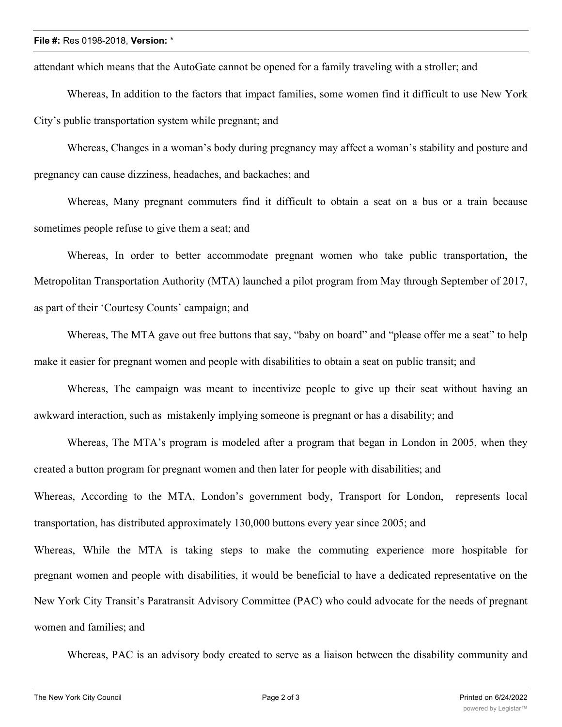## **File #:** Res 0198-2018, **Version:** \*

attendant which means that the AutoGate cannot be opened for a family traveling with a stroller; and

Whereas, In addition to the factors that impact families, some women find it difficult to use New York City's public transportation system while pregnant; and

Whereas, Changes in a woman's body during pregnancy may affect a woman's stability and posture and pregnancy can cause dizziness, headaches, and backaches; and

Whereas, Many pregnant commuters find it difficult to obtain a seat on a bus or a train because sometimes people refuse to give them a seat; and

Whereas, In order to better accommodate pregnant women who take public transportation, the Metropolitan Transportation Authority (MTA) launched a pilot program from May through September of 2017, as part of their 'Courtesy Counts' campaign; and

Whereas, The MTA gave out free buttons that say, "baby on board" and "please offer me a seat" to help make it easier for pregnant women and people with disabilities to obtain a seat on public transit; and

Whereas, The campaign was meant to incentivize people to give up their seat without having an awkward interaction, such as mistakenly implying someone is pregnant or has a disability; and

Whereas, The MTA's program is modeled after a program that began in London in 2005, when they created a button program for pregnant women and then later for people with disabilities; and Whereas, According to the MTA, London's government body, Transport for London, represents local transportation, has distributed approximately 130,000 buttons every year since 2005; and Whereas, While the MTA is taking steps to make the commuting experience more hospitable for pregnant women and people with disabilities, it would be beneficial to have a dedicated representative on the New York City Transit's Paratransit Advisory Committee (PAC) who could advocate for the needs of pregnant women and families; and

Whereas, PAC is an advisory body created to serve as a liaison between the disability community and